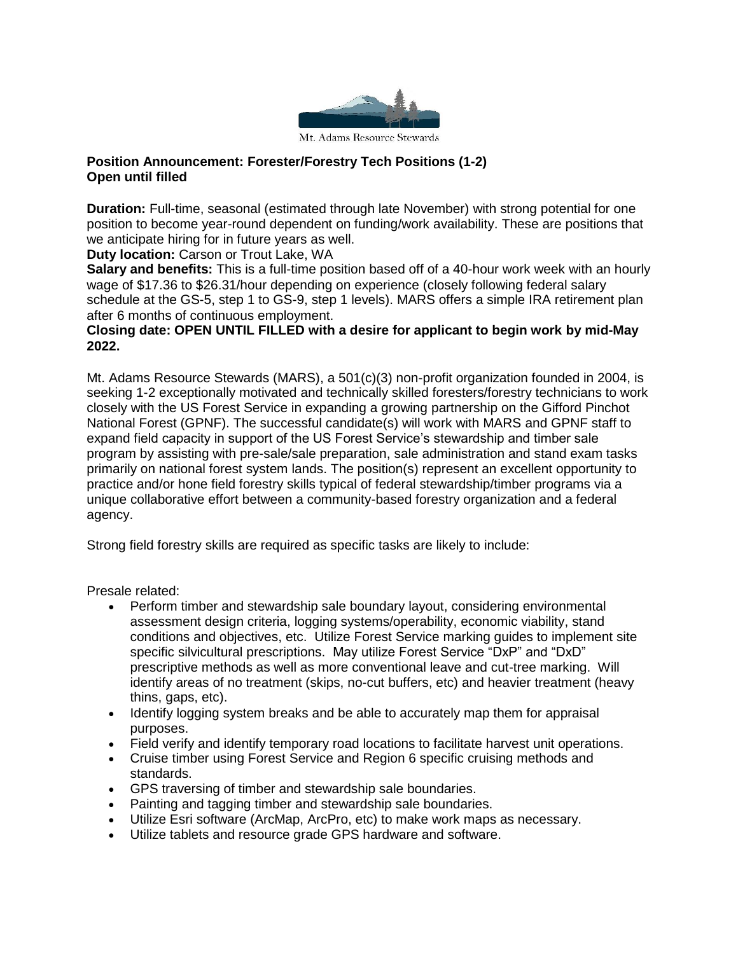

## **Position Announcement: Forester/Forestry Tech Positions (1-2) Open until filled**

**Duration:** Full-time, seasonal (estimated through late November) with strong potential for one position to become year-round dependent on funding/work availability. These are positions that we anticipate hiring for in future years as well.

**Duty location:** Carson or Trout Lake, WA

**Salary and benefits:** This is a full-time position based off of a 40-hour work week with an hourly wage of \$17.36 to \$26.31/hour depending on experience (closely following federal salary schedule at the GS-5, step 1 to GS-9, step 1 levels). MARS offers a simple IRA retirement plan after 6 months of continuous employment.

## **Closing date: OPEN UNTIL FILLED with a desire for applicant to begin work by mid-May 2022.**

Mt. Adams Resource Stewards (MARS), a 501(c)(3) non-profit organization founded in 2004, is seeking 1-2 exceptionally motivated and technically skilled foresters/forestry technicians to work closely with the US Forest Service in expanding a growing partnership on the Gifford Pinchot National Forest (GPNF). The successful candidate(s) will work with MARS and GPNF staff to expand field capacity in support of the US Forest Service's stewardship and timber sale program by assisting with pre-sale/sale preparation, sale administration and stand exam tasks primarily on national forest system lands. The position(s) represent an excellent opportunity to practice and/or hone field forestry skills typical of federal stewardship/timber programs via a unique collaborative effort between a community-based forestry organization and a federal agency.

Strong field forestry skills are required as specific tasks are likely to include:

Presale related:

- Perform timber and stewardship sale boundary layout, considering environmental assessment design criteria, logging systems/operability, economic viability, stand conditions and objectives, etc. Utilize Forest Service marking guides to implement site specific silvicultural prescriptions. May utilize Forest Service "DxP" and "DxD" prescriptive methods as well as more conventional leave and cut-tree marking. Will identify areas of no treatment (skips, no-cut buffers, etc) and heavier treatment (heavy thins, gaps, etc).
- Identify logging system breaks and be able to accurately map them for appraisal purposes.
- Field verify and identify temporary road locations to facilitate harvest unit operations.
- Cruise timber using Forest Service and Region 6 specific cruising methods and standards.
- GPS traversing of timber and stewardship sale boundaries.
- Painting and tagging timber and stewardship sale boundaries.
- Utilize Esri software (ArcMap, ArcPro, etc) to make work maps as necessary.
- Utilize tablets and resource grade GPS hardware and software.